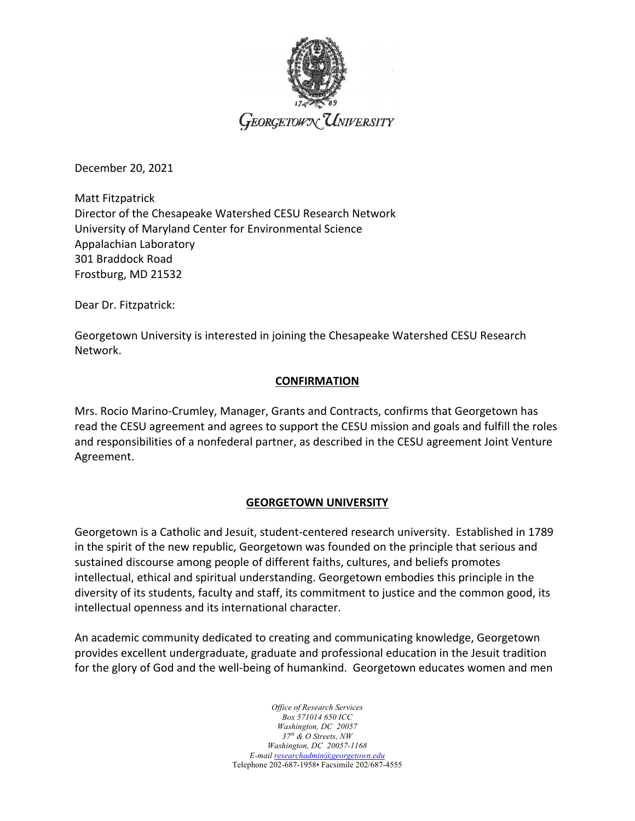

December 20, 2021

Matt Fitzpatrick Director of the Chesapeake Watershed CESU Research Network University of Maryland Center for Environmental Science Appalachian Laboratory 301 Braddock Road Frostburg, MD 21532

Dear Dr. Fitzpatrick:

Georgetown University is interested in joining the Chesapeake Watershed CESU Research Network.

#### **CONFIRMATION**

Mrs. Rocio Marino-Crumley, Manager, Grants and Contracts, confirms that Georgetown has read the CESU agreement and agrees to support the CESU mission and goals and fulfill the roles and responsibilities of a nonfederal partner, as described in the CESU agreement Joint Venture Agreement.

### **GEORGETOWN UNIVERSITY**

Georgetown is a Catholic and Jesuit, student-centered research university. Established in 1789 in the spirit of the new republic, Georgetown was founded on the principle that serious and sustained discourse among people of different faiths, cultures, and beliefs promotes intellectual, ethical and spiritual understanding. Georgetown embodies this principle in the diversity of its students, faculty and staff, its commitment to justice and the common good, its intellectual openness and its international character.

An academic community dedicated to creating and communicating knowledge, Georgetown provides excellent undergraduate, graduate and professional education in the Jesuit tradition for the glory of God and the well-being of humankind. Georgetown educates women and men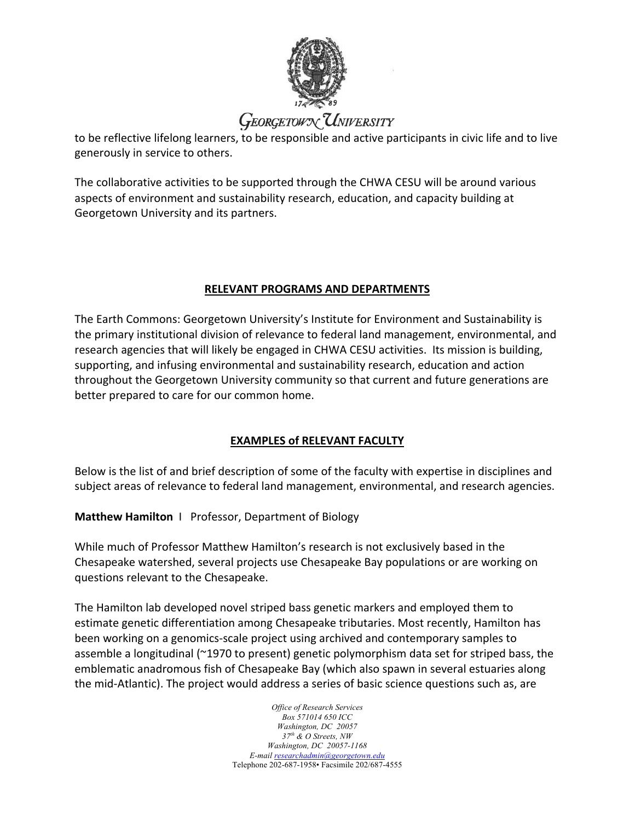

## **GEORGETOWN UNIVERSITY**

to be reflective lifelong learners, to be responsible and active participants in civic life and to live generously in service to others.

The collaborative activities to be supported through the CHWA CESU will be around various aspects of environment and sustainability research, education, and capacity building at Georgetown University and its partners.

#### **RELEVANT PROGRAMS AND DEPARTMENTS**

The Earth Commons: Georgetown University's Institute for Environment and Sustainability is the primary institutional division of relevance to federal land management, environmental, and research agencies that will likely be engaged in CHWA CESU activities. Its mission is building, supporting, and infusing environmental and sustainability research, education and action throughout the Georgetown University community so that current and future generations are better prepared to care for our common home.

## **EXAMPLES of RELEVANT FACULTY**

Below is the list of and brief description of some of the faculty with expertise in disciplines and subject areas of relevance to federal land management, environmental, and research agencies.

**Matthew Hamilton** IProfessor, Department of Biology

While much of Professor Matthew Hamilton's research is not exclusively based in the Chesapeake watershed, several projects use Chesapeake Bay populations or are working on questions relevant to the Chesapeake.

The Hamilton lab developed novel striped bass genetic markers and employed them to estimate genetic differentiation among Chesapeake tributaries. Most recently, Hamilton has been working on a genomics-scale project using archived and contemporary samples to assemble a longitudinal (~1970 to present) genetic polymorphism data set for striped bass, the emblematic anadromous fish of Chesapeake Bay (which also spawn in several estuaries along the mid-Atlantic). The project would address a series of basic science questions such as, are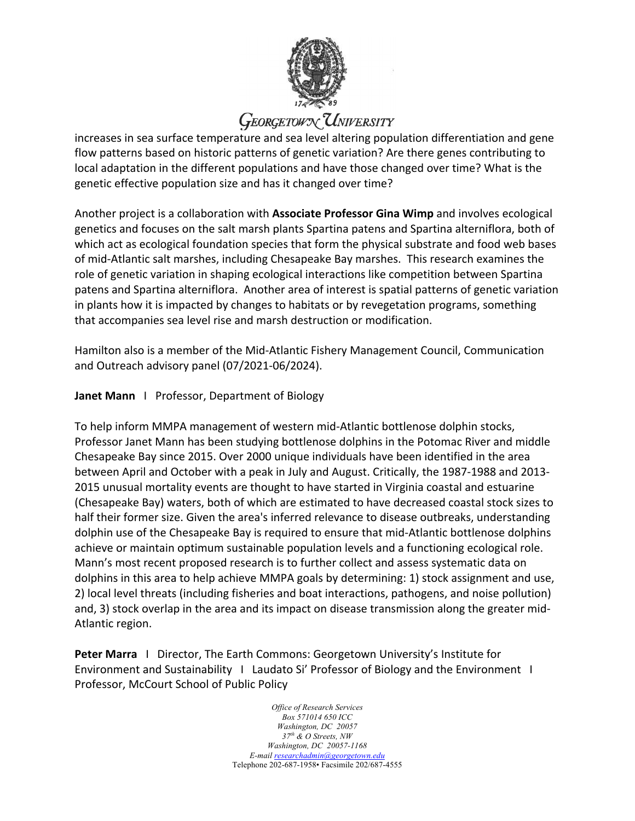

# **GEORGETOWN UNIVERSITY**

increases in sea surface temperature and sea level altering population differentiation and gene flow patterns based on historic patterns of genetic variation? Are there genes contributing to local adaptation in the different populations and have those changed over time? What is the genetic effective population size and has it changed over time?

Another project is a collaboration with **Associate Professor Gina Wimp** and involves ecological genetics and focuses on the salt marsh plants Spartina patens and Spartina alterniflora, both of which act as ecological foundation species that form the physical substrate and food web bases of mid-Atlantic salt marshes, including Chesapeake Bay marshes. This research examines the role of genetic variation in shaping ecological interactions like competition between Spartina patens and Spartina alterniflora. Another area of interest is spatial patterns of genetic variation in plants how it is impacted by changes to habitats or by revegetation programs, something that accompanies sea level rise and marsh destruction or modification.

Hamilton also is a member of the Mid-Atlantic Fishery Management Council, Communication and Outreach advisory panel (07/2021-06/2024).

### **Janet Mann** IProfessor, Department of Biology

To help inform MMPA management of western mid-Atlantic bottlenose dolphin stocks, Professor Janet Mann has been studying bottlenose dolphins in the Potomac River and middle Chesapeake Bay since 2015. Over 2000 unique individuals have been identified in the area between April and October with a peak in July and August. Critically, the 1987-1988 and 2013- 2015 unusual mortality events are thought to have started in Virginia coastal and estuarine (Chesapeake Bay) waters, both of which are estimated to have decreased coastal stock sizes to half their former size. Given the area's inferred relevance to disease outbreaks, understanding dolphin use of the Chesapeake Bay is required to ensure that mid-Atlantic bottlenose dolphins achieve or maintain optimum sustainable population levels and a functioning ecological role. Mann's most recent proposed research is to further collect and assess systematic data on dolphins in this area to help achieve MMPA goals by determining: 1) stock assignment and use, 2) local level threats (including fisheries and boat interactions, pathogens, and noise pollution) and, 3) stock overlap in the area and its impact on disease transmission along the greater mid-Atlantic region.

**Peter Marra** I Director, The Earth Commons: Georgetown University's Institute for Environment and Sustainability I Laudato Si' Professor of Biology and the Environment I Professor, McCourt School of Public Policy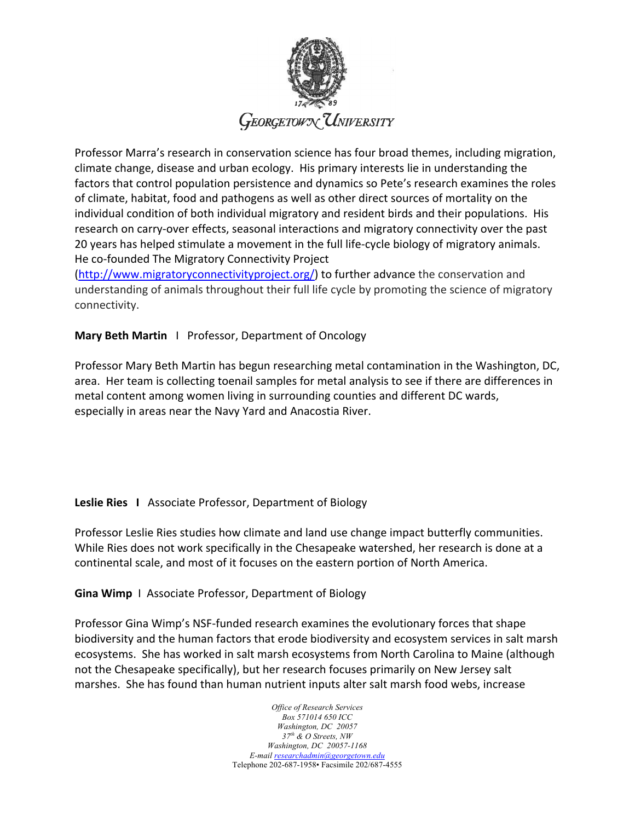

Professor Marra's research in conservation science has four broad themes, including migration, climate change, disease and urban ecology. His primary interests lie in understanding the factors that control population persistence and dynamics so Pete's research examines the roles of climate, habitat, food and pathogens as well as other direct sources of mortality on the individual condition of both individual migratory and resident birds and their populations. His research on carry-over effects, seasonal interactions and migratory connectivity over the past 20 years has helped stimulate a movement in the full life-cycle biology of migratory animals. He co-founded The Migratory Connectivity Project

(http://www.migratoryconnectivityproject.org/) to further advance the conservation and understanding of animals throughout their full life cycle by promoting the science of migratory connectivity.

### **Mary Beth Martin** I Professor, Department of Oncology

Professor Mary Beth Martin has begun researching metal contamination in the Washington, DC, area. Her team is collecting toenail samples for metal analysis to see if there are differences in metal content among women living in surrounding counties and different DC wards, especially in areas near the Navy Yard and Anacostia River.

#### **Leslie Ries I** Associate Professor, Department of Biology

Professor Leslie Ries studies how climate and land use change impact butterfly communities. While Ries does not work specifically in the Chesapeake watershed, her research is done at a continental scale, and most of it focuses on the eastern portion of North America.

**Gina Wimp** I Associate Professor, Department of Biology

Professor Gina Wimp's NSF-funded research examines the evolutionary forces that shape biodiversity and the human factors that erode biodiversity and ecosystem services in salt marsh ecosystems. She has worked in salt marsh ecosystems from North Carolina to Maine (although not the Chesapeake specifically), but her research focuses primarily on New Jersey salt marshes. She has found than human nutrient inputs alter salt marsh food webs, increase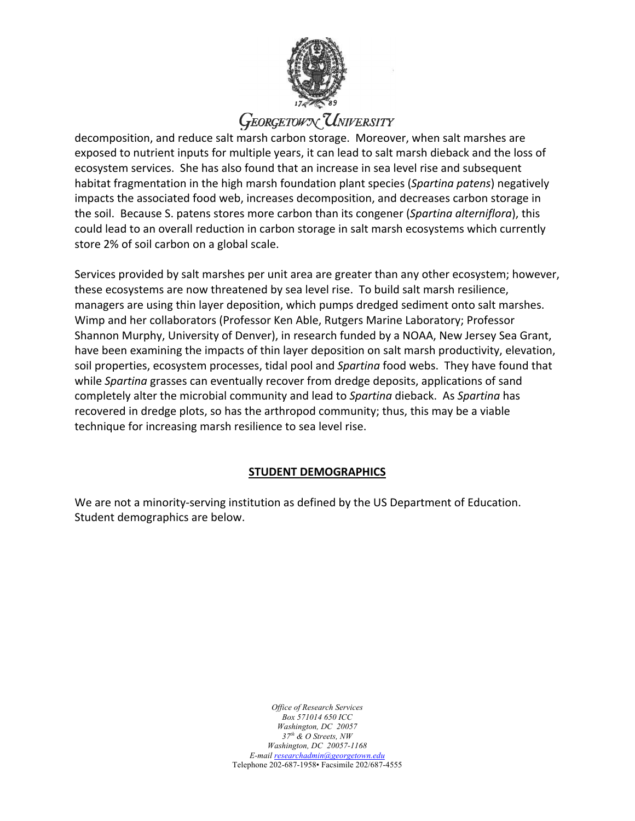

# **GEORGETOWY UNIVERSITY**

decomposition, and reduce salt marsh carbon storage. Moreover, when salt marshes are exposed to nutrient inputs for multiple years, it can lead to salt marsh dieback and the loss of ecosystem services. She has also found that an increase in sea level rise and subsequent habitat fragmentation in the high marsh foundation plant species (*Spartina patens*) negatively impacts the associated food web, increases decomposition, and decreases carbon storage in the soil. Because S. patens stores more carbon than its congener (*Spartina alterniflora*), this could lead to an overall reduction in carbon storage in salt marsh ecosystems which currently store 2% of soil carbon on a global scale.

Services provided by salt marshes per unit area are greater than any other ecosystem; however, these ecosystems are now threatened by sea level rise. To build salt marsh resilience, managers are using thin layer deposition, which pumps dredged sediment onto salt marshes. Wimp and her collaborators (Professor Ken Able, Rutgers Marine Laboratory; Professor Shannon Murphy, University of Denver), in research funded by a NOAA, New Jersey Sea Grant, have been examining the impacts of thin layer deposition on salt marsh productivity, elevation, soil properties, ecosystem processes, tidal pool and *Spartina* food webs. They have found that while *Spartina* grasses can eventually recover from dredge deposits, applications of sand completely alter the microbial community and lead to *Spartina* dieback. As *Spartina* has recovered in dredge plots, so has the arthropod community; thus, this may be a viable technique for increasing marsh resilience to sea level rise.

### **STUDENT DEMOGRAPHICS**

We are not a minority-serving institution as defined by the US Department of Education. Student demographics are below.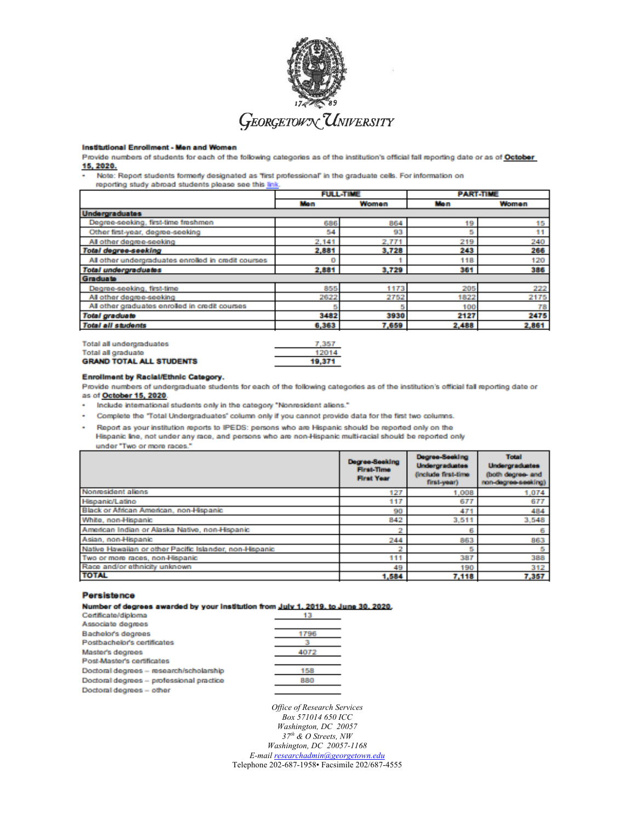

#### Institutional Enrollment - Men and Women

Provide numbers of students for each of the following categories as of the institution's official fall reporting date or as of October 15, 2020.

Note: Report students formerly designated as "first professional" in the graduate cells. For information on

reporting study abroad students please see this link.

|                                                     | <b>FULL-TIME</b> |       | <b>PART-TIME</b> |       |
|-----------------------------------------------------|------------------|-------|------------------|-------|
|                                                     | Mon              | Women | Mon              | Women |
| <b>Undergraduates</b>                               |                  |       |                  |       |
| Degree-seeking, first-time freshmen                 | 686              | 864   | 19               | 15    |
| Other first-year, degree-seeking                    | 54               | 93    | 5                | 11    |
| All other degree-seeking                            | 2.141            | 2,771 | 219              | 240   |
| Total degree-seeking                                | 2,881            | 3,728 | 243              | 266   |
| All other undergraduates enrolled in credit courses | $\bf{0}$         |       | 118              | 120   |
| <b>Total undergraduates</b>                         | 2,881            | 3,729 | 361              | 386   |
| Graduate                                            |                  |       |                  |       |
| Degree-seeking, first-time                          | 855              | 1173  | 205              | 222   |
| All other degree-seeking                            | 2622             | 2752  | 1822             | 2175  |
| All other graduates enrolled in credit courses      |                  |       | 100              | 78    |
| <b>Total graduate</b>                               | 3482             | 3930  | 2127             | 2475  |
| <b>Total all students</b>                           | 6,363            | 7,659 | 2,488            | 2,861 |
|                                                     |                  |       |                  |       |

| <b>Total all undergraduates</b> | 7.357  |
|---------------------------------|--------|
| Total all graduate              | 12014  |
| <b>GRAND TOTAL ALL STUDENTS</b> | 19.371 |

#### Enrollment by Racial/Ethnic Category.

Provide numbers of undergraduate students for each of the following categories as of the institution's official fall reporting date or as of October 15, 2020.

Include international students only in the category "Nonresident aliens."

- Complete the "Total Undergraduates" column only if you cannot provide data for the first two columns.
- Report as your institution reports to IPEDS: persons who are Hispanic should be reported only on the Hispanic line, not under any race, and persons who are non-Hispanic multi-racial should be reported only under "Two or more races."

|                                                         | Degree-Seeking<br><b>First-Time</b><br><b>First Year</b> | Degree-Seeking<br><b>Undergraduates</b><br>finclude first-time<br>first-veer) | <b>Total</b><br><b>Undergraduates</b><br>(both degree- and<br>non-degree-seeking) |
|---------------------------------------------------------|----------------------------------------------------------|-------------------------------------------------------------------------------|-----------------------------------------------------------------------------------|
| Nonresident aliens                                      | 127                                                      | 1.008                                                                         | 1,074                                                                             |
| Hispanic/Latino                                         | 117                                                      | 677                                                                           | 677                                                                               |
| Black or African American, non-Hispanic                 | 90                                                       | 471                                                                           | 484                                                                               |
| White, non-Hispanic                                     | 842                                                      | 3,511                                                                         | 3,548                                                                             |
| American Indian or Alaska Native, non-Hispanic          |                                                          | 6                                                                             |                                                                                   |
| Asian, non-Hispanic                                     | 244                                                      | 863                                                                           | 863                                                                               |
| Native Hawaiian or other Pacific Islander, non-Hispanic |                                                          | 5                                                                             |                                                                                   |
| Two or more races, non-Hispanic                         | 111                                                      | 387                                                                           | 388                                                                               |
| Race and/or ethnicity unknown                           | 49                                                       | 190                                                                           | 312                                                                               |
| <b>TOTAL</b>                                            | 1,584                                                    | 7,118                                                                         | 7,357                                                                             |

#### Persistence

Number of degrees awarded by your institution from July 1, 2019, to June 30, 2020,

| Certificate/diploma                      | 13   |
|------------------------------------------|------|
| Associate degrees                        |      |
| Bachelor's degrees                       | 1796 |
| Postbachelor's certificates              |      |
| Master's degrees                         | 4072 |
| Post-Master's certificates               |      |
| Doctoral degrees - research/scholarship  | 158  |
| Doctoral degrees - professional practice | 880  |
| Doctoral degrees - other                 |      |
|                                          |      |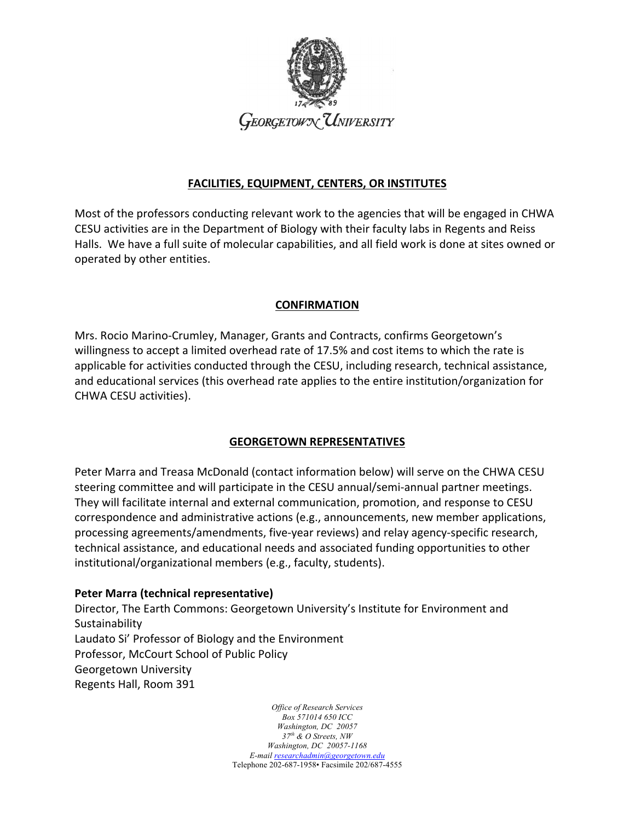

### **FACILITIES, EQUIPMENT, CENTERS, OR INSTITUTES**

Most of the professors conducting relevant work to the agencies that will be engaged in CHWA CESU activities are in the Department of Biology with their faculty labs in Regents and Reiss Halls. We have a full suite of molecular capabilities, and all field work is done at sites owned or operated by other entities.

## **CONFIRMATION**

Mrs. Rocio Marino-Crumley, Manager, Grants and Contracts, confirms Georgetown's willingness to accept a limited overhead rate of 17.5% and cost items to which the rate is applicable for activities conducted through the CESU, including research, technical assistance, and educational services (this overhead rate applies to the entire institution/organization for CHWA CESU activities).

## **GEORGETOWN REPRESENTATIVES**

Peter Marra and Treasa McDonald (contact information below) will serve on the CHWA CESU steering committee and will participate in the CESU annual/semi-annual partner meetings. They will facilitate internal and external communication, promotion, and response to CESU correspondence and administrative actions (e.g., announcements, new member applications, processing agreements/amendments, five-year reviews) and relay agency-specific research, technical assistance, and educational needs and associated funding opportunities to other institutional/organizational members (e.g., faculty, students).

### **Peter Marra (technical representative)**

Director, The Earth Commons: Georgetown University's Institute for Environment and **Sustainability** Laudato Si' Professor of Biology and the Environment Professor, McCourt School of Public Policy Georgetown University Regents Hall, Room 391